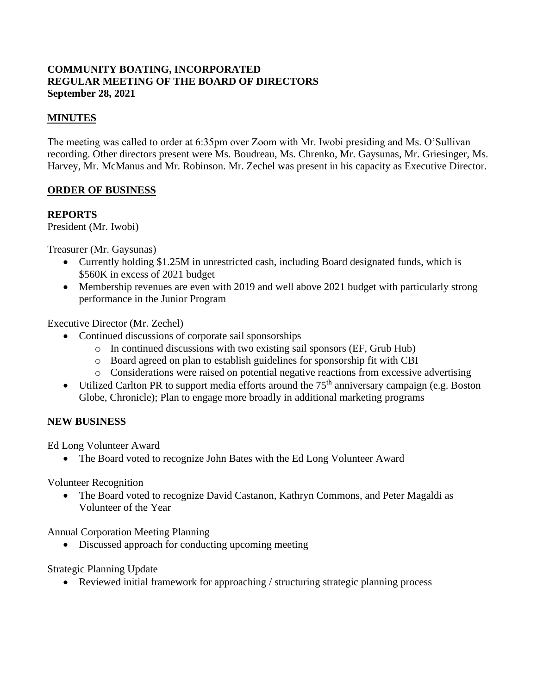#### **COMMUNITY BOATING, INCORPORATED REGULAR MEETING OF THE BOARD OF DIRECTORS September 28, 2021**

### **MINUTES**

The meeting was called to order at 6:35pm over Zoom with Mr. Iwobi presiding and Ms. O'Sullivan recording. Other directors present were Ms. Boudreau, Ms. Chrenko, Mr. Gaysunas, Mr. Griesinger, Ms. Harvey, Mr. McManus and Mr. Robinson. Mr. Zechel was present in his capacity as Executive Director.

#### **ORDER OF BUSINESS**

#### **REPORTS**

President (Mr. Iwobi)

Treasurer (Mr. Gaysunas)

- Currently holding \$1.25M in unrestricted cash, including Board designated funds, which is \$560K in excess of 2021 budget
- Membership revenues are even with 2019 and well above 2021 budget with particularly strong performance in the Junior Program

Executive Director (Mr. Zechel)

- Continued discussions of corporate sail sponsorships
	- o In continued discussions with two existing sail sponsors (EF, Grub Hub)
	- o Board agreed on plan to establish guidelines for sponsorship fit with CBI
	- o Considerations were raised on potential negative reactions from excessive advertising
- Utilized Carlton PR to support media efforts around the  $75<sup>th</sup>$  anniversary campaign (e.g. Boston Globe, Chronicle); Plan to engage more broadly in additional marketing programs

#### **NEW BUSINESS**

Ed Long Volunteer Award

• The Board voted to recognize John Bates with the Ed Long Volunteer Award

Volunteer Recognition

• The Board voted to recognize David Castanon, Kathryn Commons, and Peter Magaldi as Volunteer of the Year

Annual Corporation Meeting Planning

• Discussed approach for conducting upcoming meeting

#### Strategic Planning Update

• Reviewed initial framework for approaching / structuring strategic planning process